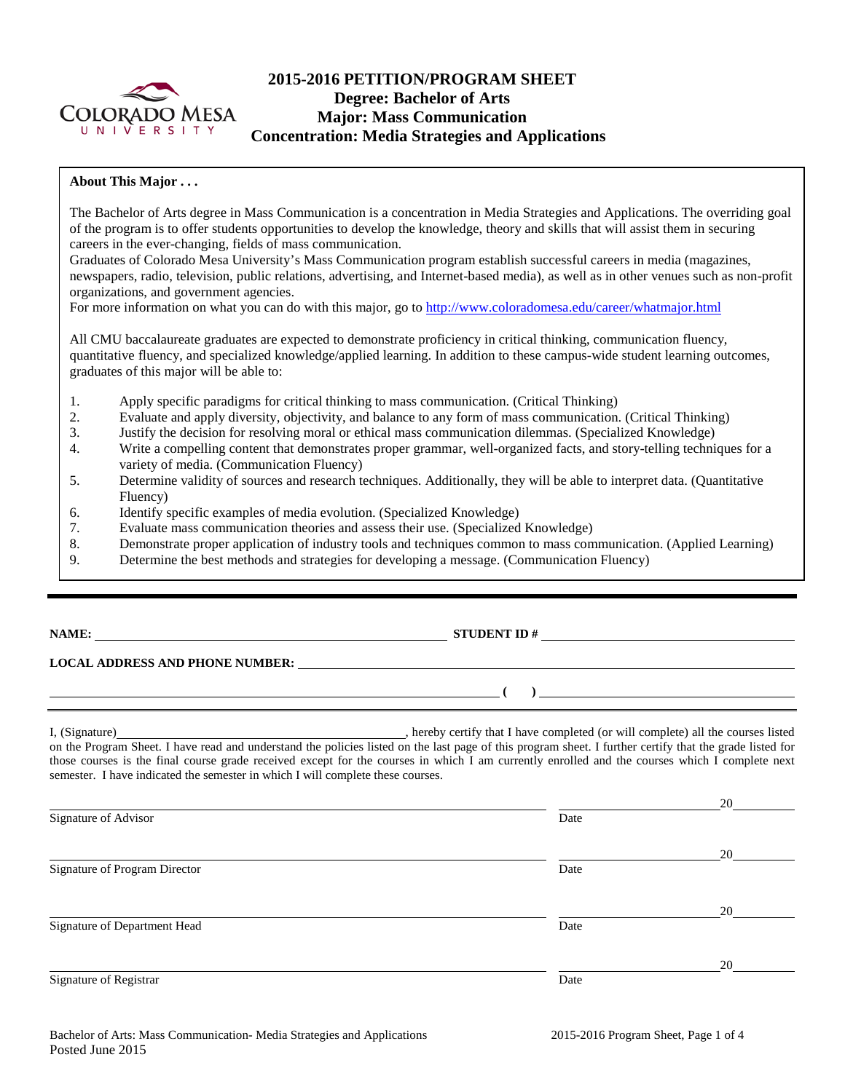

# **2015-2016 PETITION/PROGRAM SHEET Degree: Bachelor of Arts Major: Mass Communication Concentration: Media Strategies and Applications**

## **About This Major . . .**

The Bachelor of Arts degree in Mass Communication is a concentration in Media Strategies and Applications. The overriding goal of the program is to offer students opportunities to develop the knowledge, theory and skills that will assist them in securing careers in the ever-changing, fields of mass communication.

Graduates of Colorado Mesa University's Mass Communication program establish successful careers in media (magazines, newspapers, radio, television, public relations, advertising, and Internet-based media), as well as in other venues such as non-profit organizations, and government agencies.

For more information on what you can do with this major, go to<http://www.coloradomesa.edu/career/whatmajor.html>

All CMU baccalaureate graduates are expected to demonstrate proficiency in critical thinking, communication fluency, quantitative fluency, and specialized knowledge/applied learning. In addition to these campus-wide student learning outcomes, graduates of this major will be able to:

- 1. Apply specific paradigms for critical thinking to mass communication. (Critical Thinking)<br>2. Evaluate and apply diversity, objectivity, and balance to any form of mass communication.
- 2. Evaluate and apply diversity, objectivity, and balance to any form of mass communication. (Critical Thinking)
- 3. Justify the decision for resolving moral or ethical mass communication dilemmas. (Specialized Knowledge)
- 4. Write a compelling content that demonstrates proper grammar, well-organized facts, and story-telling techniques for a variety of media. (Communication Fluency)
- 5. Determine validity of sources and research techniques. Additionally, they will be able to interpret data. (Quantitative Fluency)
- 6. Identify specific examples of media evolution. (Specialized Knowledge)
- 7. Evaluate mass communication theories and assess their use. (Specialized Knowledge)
- 8. Demonstrate proper application of industry tools and techniques common to mass communication. (Applied Learning)
- 9. Determine the best methods and strategies for developing a message. (Communication Fluency)

# **NAME: STUDENT ID #**

## **LOCAL ADDRESS AND PHONE NUMBER:**

I, (Signature) hereby certify that I have completed (or will complete) all the courses listed on the Program Sheet. I have read and understand the policies listed on the last page of this program sheet. I further certify that the grade listed for those courses is the final course grade received except for the courses in which I am currently enrolled and the courses which I complete next semester. I have indicated the semester in which I will complete these courses.

| Signature of Advisor          | Date | 20 |
|-------------------------------|------|----|
| Signature of Program Director | Date | 20 |
| Signature of Department Head  | Date | 20 |
| Signature of Registrar        | Date | 20 |

**( )**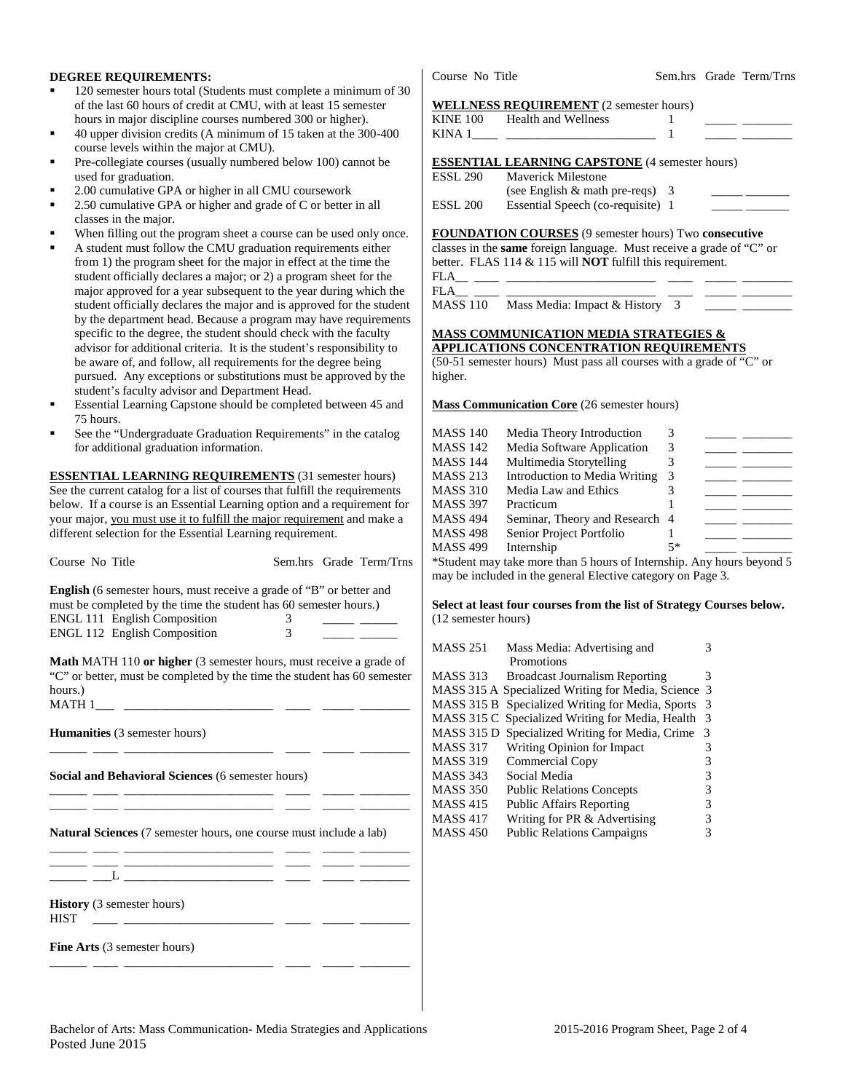### **DEGREE REQUIREMENTS:**

- 120 semester hours total (Students must complete a minimum of 30 of the last 60 hours of credit at CMU, with at least 15 semester hours in major discipline courses numbered 300 or higher).
- 40 upper division credits (A minimum of 15 taken at the 300-400 course levels within the major at CMU).
- Pre-collegiate courses (usually numbered below 100) cannot be used for graduation.
- 2.00 cumulative GPA or higher in all CMU coursework
- 2.50 cumulative GPA or higher and grade of C or better in all classes in the major.
- When filling out the program sheet a course can be used only once.
- A student must follow the CMU graduation requirements either from 1) the program sheet for the major in effect at the time the student officially declares a major; or 2) a program sheet for the major approved for a year subsequent to the year during which the student officially declares the major and is approved for the student by the department head. Because a program may have requirements specific to the degree, the student should check with the faculty advisor for additional criteria. It is the student's responsibility to be aware of, and follow, all requirements for the degree being pursued. Any exceptions or substitutions must be approved by the student's faculty advisor and Department Head.
- Essential Learning Capstone should be completed between 45 and 75 hours.
- See the "Undergraduate Graduation Requirements" in the catalog for additional graduation information.

**ESSENTIAL LEARNING REQUIREMENTS** (31 semester hours) See the current catalog for a list of courses that fulfill the requirements below. If a course is an Essential Learning option and a requirement for your major, you must use it to fulfill the major requirement and make a different selection for the Essential Learning requirement.

| Course No Title                                                                                                                                                                                                         |        | Sem.hrs Grade Term/Trns        |
|-------------------------------------------------------------------------------------------------------------------------------------------------------------------------------------------------------------------------|--------|--------------------------------|
| <b>English</b> (6 semester hours, must receive a grade of "B" or better and<br>must be completed by the time the student has 60 semester hours.)<br><b>ENGL 111 English Composition</b><br>ENGL 112 English Composition | 3<br>3 | <u> 1999 - John Barn Barns</u> |
| Math MATH 110 or higher (3 semester hours, must receive a grade of<br>"C" or better, must be completed by the time the student has 60 semester<br>hours.)                                                               |        |                                |
| <b>Humanities</b> (3 semester hours)                                                                                                                                                                                    |        |                                |
| <b>Social and Behavioral Sciences (6 semester hours)</b>                                                                                                                                                                |        |                                |
| <b>Natural Sciences</b> (7 semester hours, one course must include a lab)                                                                                                                                               |        |                                |
|                                                                                                                                                                                                                         |        |                                |
| <b>History</b> (3 semester hours)<br><b>HIST</b>                                                                                                                                                                        |        |                                |
| Fine Arts (3 semester hours)                                                                                                                                                                                            |        |                                |

Course No Title Sem.hrs Grade Term/Trns

#### **WELLNESS REQUIREMENT** (2 semester hours)

| KINE 100 | <b>Health and Wellness</b>                            |  |
|----------|-------------------------------------------------------|--|
| KINA 1   |                                                       |  |
|          | <b>ESSENTIAL LEARNING CAPSTONE</b> (4 semester hours) |  |
| ESSL 290 | <b>Maverick Milestone</b>                             |  |
|          | (see English $&$ math pre-reqs) 3                     |  |
| ESSL 200 | Essential Speech (co-requisite) 1                     |  |

**FOUNDATION COURSES** (9 semester hours) Two **consecutive**

classes in the **same** foreign language. Must receive a grade of "C" or better. FLAS 114 & 115 will **NOT** fulfill this requirement.  $FLA$ 

FLA\_\_ \_\_\_\_ \_\_\_\_\_\_\_\_\_\_\_\_\_\_\_\_\_\_\_\_\_\_\_\_ \_\_\_\_ \_\_\_\_\_ \_\_\_\_\_\_\_\_

MASS 110 Mass Media: Impact & History 3

#### **MASS COMMUNICATION MEDIA STRATEGIES & APPLICATIONS CONCENTRATION REQUIREMENTS**

(50-51 semester hours) Must pass all courses with a grade of "C" or higher.

**Mass Communication Core** (26 semester hours)

| MASS 140 | Media Theory Introduction                                                                          | 3    |  |
|----------|----------------------------------------------------------------------------------------------------|------|--|
| MASS 142 | Media Software Application                                                                         | 3    |  |
| MASS 144 | Multimedia Storytelling                                                                            |      |  |
| MASS 213 | Introduction to Media Writing                                                                      | 3    |  |
| MASS 310 | Media Law and Ethics                                                                               |      |  |
| MASS 397 | Practicum                                                                                          |      |  |
| MASS 494 | Seminar, Theory and Research 4                                                                     |      |  |
| MASS 498 | Senior Project Portfolio                                                                           |      |  |
| MASS 499 | Internship                                                                                         | $5*$ |  |
|          | $\&\text{C}_{\text{tr}}$ dont more toles mone than $\&$ boung of Intomation. Any house housed $\&$ |      |  |

\*Student may take more than 5 hours of Internship. Any hours beyond 5 may be included in the general Elective category on Page 3.

**Select at least four courses from the list of Strategy Courses below.**  (12 semester hours)

| <b>MASS 251</b>   | Mass Media: Advertising and                         |   |
|-------------------|-----------------------------------------------------|---|
|                   | Promotions                                          |   |
| <b>MASS 313</b>   | <b>Broadcast Journalism Reporting</b>               | 3 |
|                   | MASS 315 A Specialized Writing for Media, Science 3 |   |
| <b>MASS 315 B</b> | Specialized Writing for Media, Sports               | 3 |
|                   | MASS 315 C Specialized Writing for Media, Health    | 3 |
|                   | MASS 315 D Specialized Writing for Media, Crime     | 3 |
| <b>MASS 317</b>   | Writing Opinion for Impact                          | 3 |
| <b>MASS 319</b>   | Commercial Copy                                     | 3 |
| <b>MASS 343</b>   | Social Media                                        | 3 |
| <b>MASS 350</b>   | <b>Public Relations Concepts</b>                    | 3 |
| <b>MASS 415</b>   | <b>Public Affairs Reporting</b>                     | 3 |
| <b>MASS 417</b>   | Writing for PR & Advertising                        | 3 |
| <b>MASS 450</b>   | <b>Public Relations Campaigns</b>                   | 3 |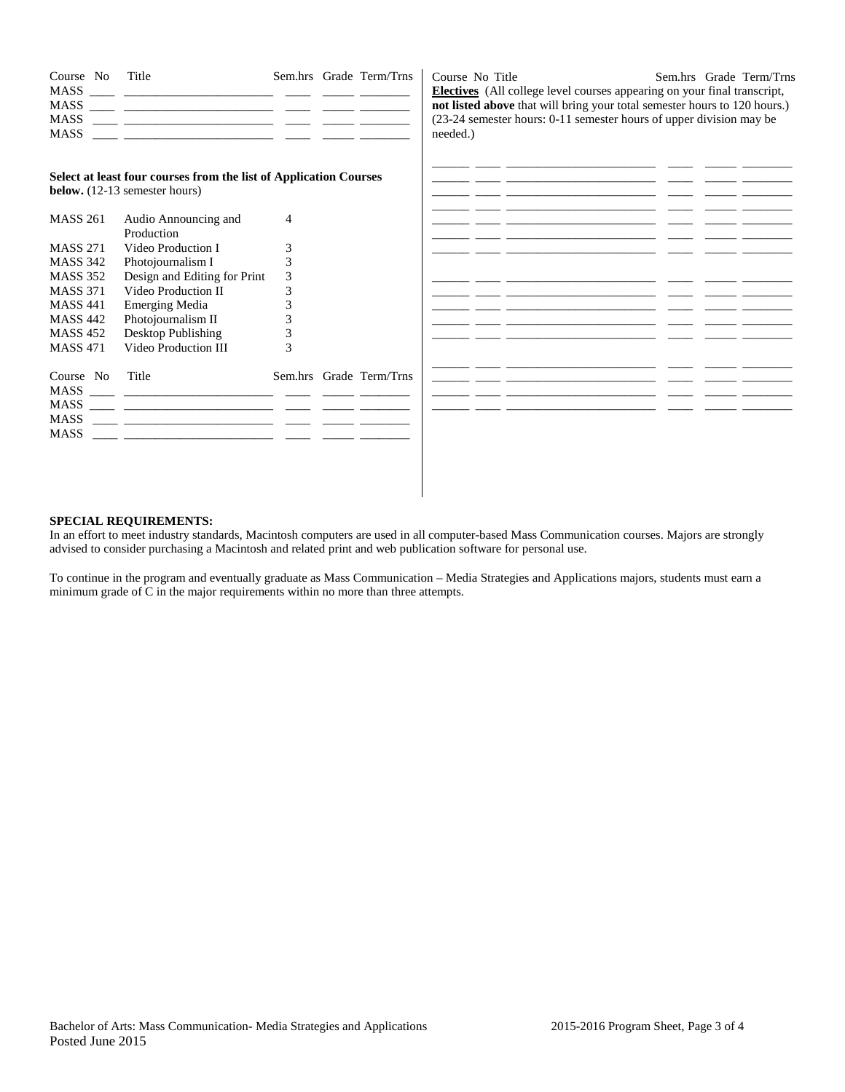| Course No<br>MASS<br><b>MASS</b> | Title                                                                                                     |   | Sem.hrs Grade Term/Trns | Course No Title<br>Sem.hrs Grade Term/Trns<br><b>Electives</b> (All college level courses appearing on your final transcript,<br>not listed above that will bring your total semester hours to 120 hours.)<br>(23-24 semester hours: 0-11 semester hours of upper division may be<br>needed.) |
|----------------------------------|-----------------------------------------------------------------------------------------------------------|---|-------------------------|-----------------------------------------------------------------------------------------------------------------------------------------------------------------------------------------------------------------------------------------------------------------------------------------------|
|                                  | Select at least four courses from the list of Application Courses<br><b>below.</b> (12-13 semester hours) |   |                         | فالمستوار والمستعين والمستعين والمستعدد والمستعدد والمستعدد والمستعين والمستعد والمستعد<br><u> 1999 - 1999 - Amerikaanse kommunister (1999 - 1999 - 1999 - 1999 - 1999 - 1999 - 1999 - 1999 - 1999 - 1999 - </u><br><u> 1999 - 1999 - Amerikaanse kommunister (h. 1999)</u>                   |
| <b>MASS 261</b>                  | Audio Announcing and                                                                                      | 4 |                         | <u> 1999 - John Amerikaanse School (1999 - 1999 - 1999 - 1999 - 1999 - 1999 - 1999 - 1999 - 1999 - 1999 - 1999 - </u>                                                                                                                                                                         |
|                                  | Production                                                                                                |   |                         |                                                                                                                                                                                                                                                                                               |
| <b>MASS 271</b>                  | Video Production I                                                                                        |   |                         | <u> 1988 - Johann Stoff, amerikansk politiker (d. 1989)</u>                                                                                                                                                                                                                                   |
| <b>MASS 342</b>                  | Photojournalism I                                                                                         |   |                         |                                                                                                                                                                                                                                                                                               |
| <b>MASS 352</b>                  | Design and Editing for Print                                                                              | 3 |                         |                                                                                                                                                                                                                                                                                               |
| <b>MASS 371</b>                  | Video Production II                                                                                       |   |                         |                                                                                                                                                                                                                                                                                               |
| <b>MASS 441</b>                  | <b>Emerging Media</b>                                                                                     |   |                         | <u> 1999 - Jan Herrich Herrich (f. 1989)</u>                                                                                                                                                                                                                                                  |
| <b>MASS 442</b>                  | Photojournalism II                                                                                        |   |                         |                                                                                                                                                                                                                                                                                               |
| <b>MASS 452</b>                  | Desktop Publishing                                                                                        |   |                         | <u> 1999 - John Harrison, marshalar mason (1999 - 1999 - 1999 - 1999 - 1999 - 1999 - 1999 - 1999 - 1999 - 1999 - </u>                                                                                                                                                                         |
| <b>MASS 471</b>                  | Video Production III                                                                                      | 3 |                         |                                                                                                                                                                                                                                                                                               |
| Course No<br>MASS                | Title                                                                                                     |   | Sem.hrs Grade Term/Trns | فالمستوفي والمستنقص والمستني والمستحدث والمستحدث والمستحدث والمستنقل والمستنقل والمستنقل                                                                                                                                                                                                      |
| MASS                             |                                                                                                           |   |                         |                                                                                                                                                                                                                                                                                               |

#### **SPECIAL REQUIREMENTS:**

In an effort to meet industry standards, Macintosh computers are used in all computer-based Mass Communication courses. Majors are strongly advised to consider purchasing a Macintosh and related print and web publication software for personal use.

To continue in the program and eventually graduate as Mass Communication – Media Strategies and Applications majors, students must earn a minimum grade of C in the major requirements within no more than three attempts.